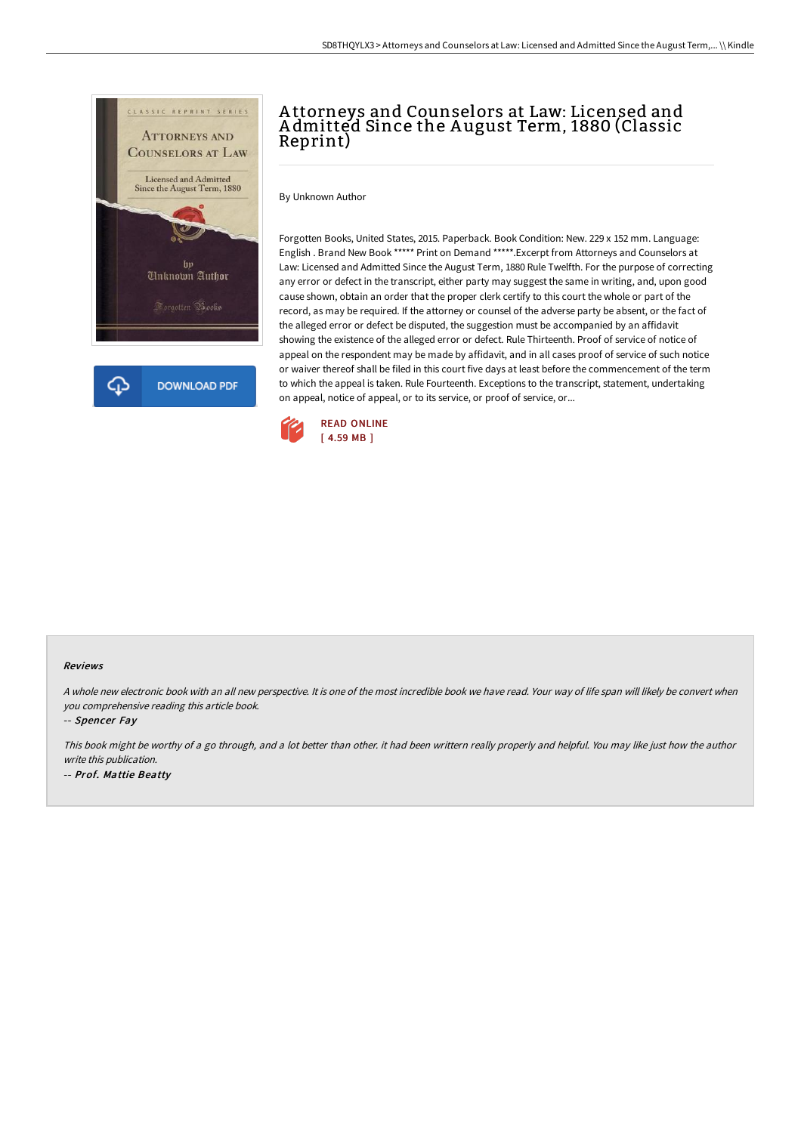

# A ttorneys and Counselors at Law: Licensed and A dmitted Since the A ugust Term, 1880 (Classic Reprint)

By Unknown Author

Forgotten Books, United States, 2015. Paperback. Book Condition: New. 229 x 152 mm. Language: English . Brand New Book \*\*\*\*\* Print on Demand \*\*\*\*\*.Excerpt from Attorneys and Counselors at Law: Licensed and Admitted Since the August Term, 1880 Rule Twelfth. For the purpose of correcting any error or defect in the transcript, either party may suggest the same in writing, and, upon good cause shown, obtain an order that the proper clerk certify to this court the whole or part of the record, as may be required. If the attorney or counsel of the adverse party be absent, or the fact of the alleged error or defect be disputed, the suggestion must be accompanied by an affidavit showing the existence of the alleged error or defect. Rule Thirteenth. Proof of service of notice of appeal on the respondent may be made by affidavit, and in all cases proof of service of such notice or waiver thereof shall be filed in this court five days at least before the commencement of the term to which the appeal is taken. Rule Fourteenth. Exceptions to the transcript, statement, undertaking on appeal, notice of appeal, or to its service, or proof of service, or...



#### Reviews

A whole new electronic book with an all new perspective. It is one of the most incredible book we have read. Your way of life span will likely be convert when you comprehensive reading this article book.

-- Spencer Fay

This book might be worthy of <sup>a</sup> go through, and <sup>a</sup> lot better than other. it had been writtern really properly and helpful. You may like just how the author write this publication. -- Prof. Mattie Beatty